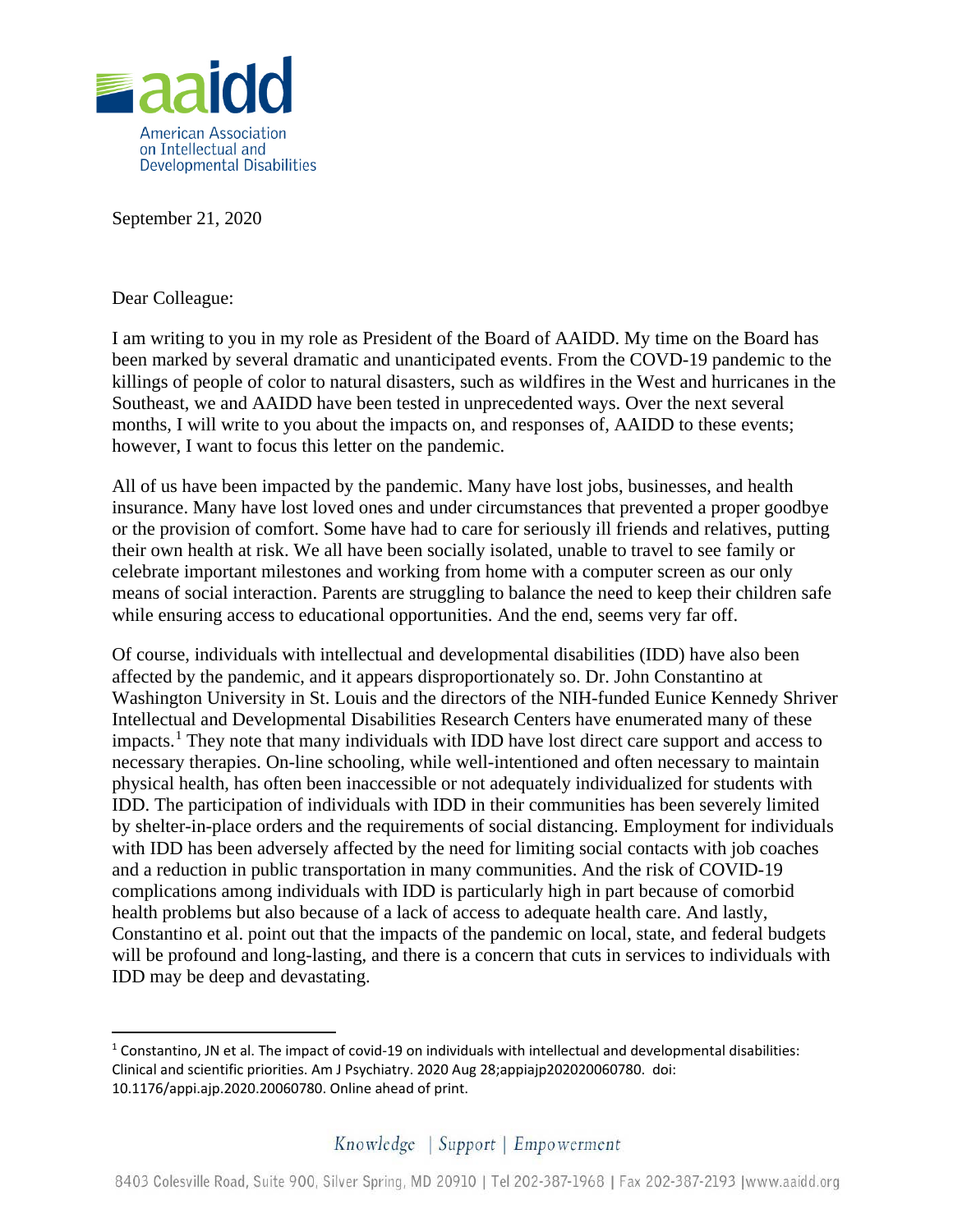

September 21, 2020

Dear Colleague:

I am writing to you in my role as President of the Board of AAIDD. My time on the Board has been marked by several dramatic and unanticipated events. From the COVD-19 pandemic to the killings of people of color to natural disasters, such as wildfires in the West and hurricanes in the Southeast, we and AAIDD have been tested in unprecedented ways. Over the next several months, I will write to you about the impacts on, and responses of, AAIDD to these events; however, I want to focus this letter on the pandemic.

All of us have been impacted by the pandemic. Many have lost jobs, businesses, and health insurance. Many have lost loved ones and under circumstances that prevented a proper goodbye or the provision of comfort. Some have had to care for seriously ill friends and relatives, putting their own health at risk. We all have been socially isolated, unable to travel to see family or celebrate important milestones and working from home with a computer screen as our only means of social interaction. Parents are struggling to balance the need to keep their children safe while ensuring access to educational opportunities. And the end, seems very far off.

Of course, individuals with intellectual and developmental disabilities (IDD) have also been affected by the pandemic, and it appears disproportionately so. Dr. John Constantino at Washington University in St. Louis and the directors of the NIH-funded Eunice Kennedy Shriver Intellectual and Developmental Disabilities Research Centers have enumerated many of these  $impects<sup>1</sup>$  $impects<sup>1</sup>$  $impects<sup>1</sup>$ . They note that many individuals with IDD have lost direct care support and access to necessary therapies. On-line schooling, while well-intentioned and often necessary to maintain physical health, has often been inaccessible or not adequately individualized for students with IDD. The participation of individuals with IDD in their communities has been severely limited by shelter-in-place orders and the requirements of social distancing. Employment for individuals with IDD has been adversely affected by the need for limiting social contacts with job coaches and a reduction in public transportation in many communities. And the risk of COVID-19 complications among individuals with IDD is particularly high in part because of comorbid health problems but also because of a lack of access to adequate health care. And lastly, Constantino et al. point out that the impacts of the pandemic on local, state, and federal budgets will be profound and long-lasting, and there is a concern that cuts in services to individuals with IDD may be deep and devastating.

<span id="page-0-0"></span> $1$  Constantino, JN et al. The impact of covid-19 on individuals with intellectual and developmental disabilities: Clinical and scientific priorities. Am J Psychiatry. 2020 Aug 28;appiajp202020060780. doi: 10.1176/appi.ajp.2020.20060780. Online ahead of print.